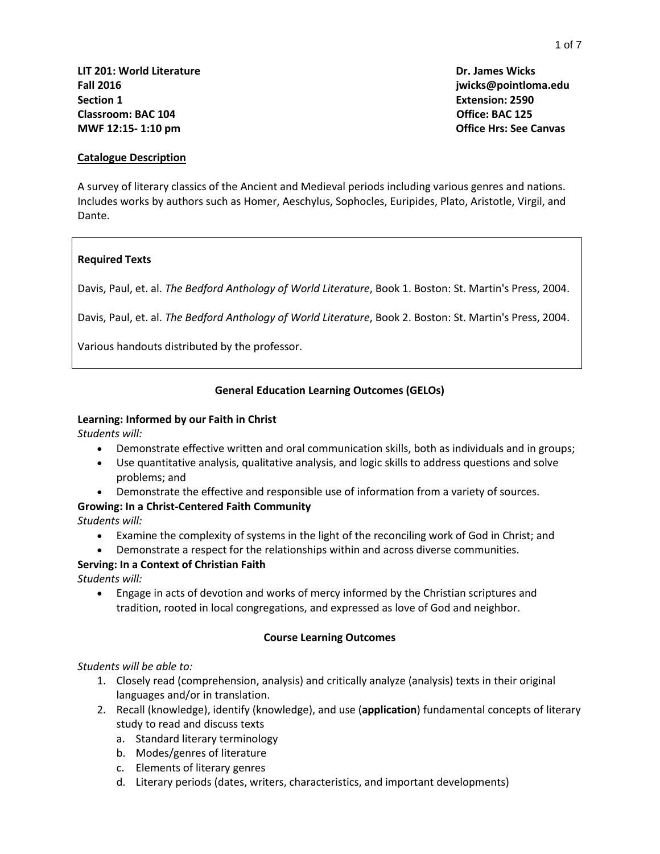#### **Catalogue Description**

A survey of literary classics of the Ancient and Medieval periods including various genres and nations. Includes works by authors such as Homer, Aeschylus, Sophocles, Euripides, Plato, Aristotle, Virgil, and Dante.

#### **Required Texts**

Davis, Paul, et. al. *The Bedford Anthology of World Literature*, Book 1. Boston: St. Martin's Press, 2004.

Davis, Paul, et. al. *The Bedford Anthology of World Literature*, Book 2. Boston: St. Martin's Press, 2004.

Various handouts distributed by the professor.

#### **General Education Learning Outcomes (GELOs)**

#### **Learning: Informed by our Faith in Christ**

*Students will:*

- Demonstrate effective written and oral communication skills, both as individuals and in groups;
- Use quantitative analysis, qualitative analysis, and logic skills to address questions and solve problems; and
- Demonstrate the effective and responsible use of information from a variety of sources.

#### **Growing: In a Christ-Centered Faith Community**

*Students will:*

- Examine the complexity of systems in the light of the reconciling work of God in Christ; and
- Demonstrate a respect for the relationships within and across diverse communities.

#### **Serving: In a Context of Christian Faith**

*Students will:*

 Engage in acts of devotion and works of mercy informed by the Christian scriptures and tradition, rooted in local congregations, and expressed as love of God and neighbor.

#### **Course Learning Outcomes**

#### *Students will be able to:*

- 1. Closely read (comprehension, analysis) and critically analyze (analysis) texts in their original languages and/or in translation.
- 2. Recall (knowledge), identify (knowledge), and use (**application**) fundamental concepts of literary study to read and discuss texts
	- a. Standard literary terminology
	- b. Modes/genres of literature
	- c. Elements of literary genres
	- d. Literary periods (dates, writers, characteristics, and important developments)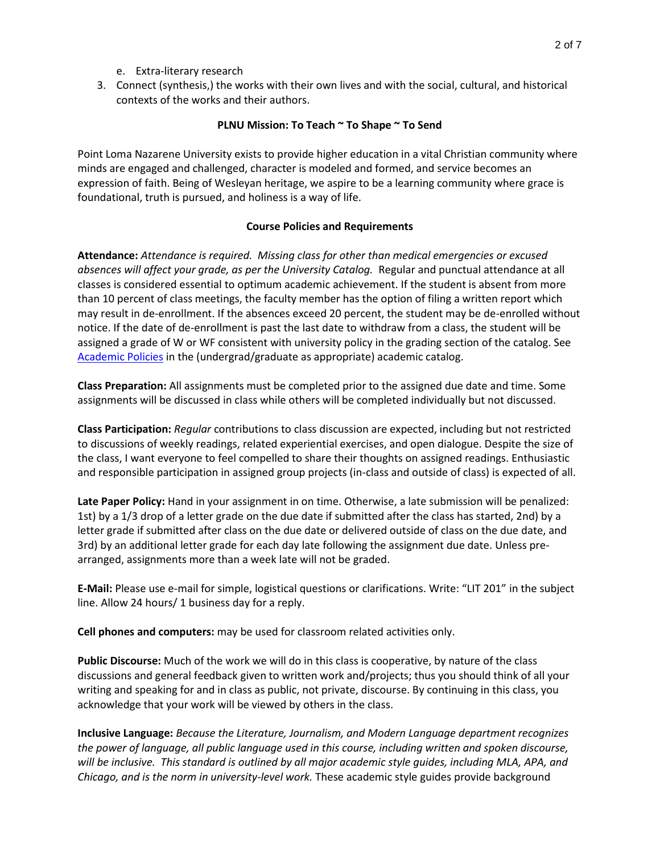- e. Extra-literary research
- 3. Connect (synthesis,) the works with their own lives and with the social, cultural, and historical contexts of the works and their authors.

## **PLNU Mission: To Teach ~ To Shape ~ To Send**

Point Loma Nazarene University exists to provide higher education in a vital Christian community where minds are engaged and challenged, character is modeled and formed, and service becomes an expression of faith. Being of Wesleyan heritage, we aspire to be a learning community where grace is foundational, truth is pursued, and holiness is a way of life.

## **Course Policies and Requirements**

**Attendance:** *Attendance is required. Missing class for other than medical emergencies or excused absences will affect your grade, as per the University Catalog.* Regular and punctual attendance at all classes is considered essential to optimum academic achievement. If the student is absent from more than 10 percent of class meetings, the faculty member has the option of filing a written report which may result in de-enrollment. If the absences exceed 20 percent, the student may be de-enrolled without notice. If the date of de-enrollment is past the last date to withdraw from a class, the student will be assigned a grade of W or WF consistent with university policy in the grading section of the catalog. See [Academic Policies](http://catalog.pointloma.edu/content.php?catoid=24&navoid=1581) in the (undergrad/graduate as appropriate) academic catalog.

**Class Preparation:** All assignments must be completed prior to the assigned due date and time. Some assignments will be discussed in class while others will be completed individually but not discussed.

**Class Participation:** *Regular* contributions to class discussion are expected, including but not restricted to discussions of weekly readings, related experiential exercises, and open dialogue. Despite the size of the class, I want everyone to feel compelled to share their thoughts on assigned readings. Enthusiastic and responsible participation in assigned group projects (in-class and outside of class) is expected of all.

**Late Paper Policy:** Hand in your assignment in on time. Otherwise, a late submission will be penalized: 1st) by a 1/3 drop of a letter grade on the due date if submitted after the class has started, 2nd) by a letter grade if submitted after class on the due date or delivered outside of class on the due date, and 3rd) by an additional letter grade for each day late following the assignment due date. Unless prearranged, assignments more than a week late will not be graded.

**E-Mail:** Please use e-mail for simple, logistical questions or clarifications. Write: "LIT 201" in the subject line. Allow 24 hours/ 1 business day for a reply.

**Cell phones and computers:** may be used for classroom related activities only.

**Public Discourse:** Much of the work we will do in this class is cooperative, by nature of the class discussions and general feedback given to written work and/projects; thus you should think of all your writing and speaking for and in class as public, not private, discourse. By continuing in this class, you acknowledge that your work will be viewed by others in the class.

**Inclusive Language:** *Because the Literature, Journalism, and Modern Language department recognizes the power of language, all public language used in this course, including written and spoken discourse, will be inclusive. This standard is outlined by all major academic style guides, including MLA, APA, and Chicago, and is the norm in university-level work.* These academic style guides provide background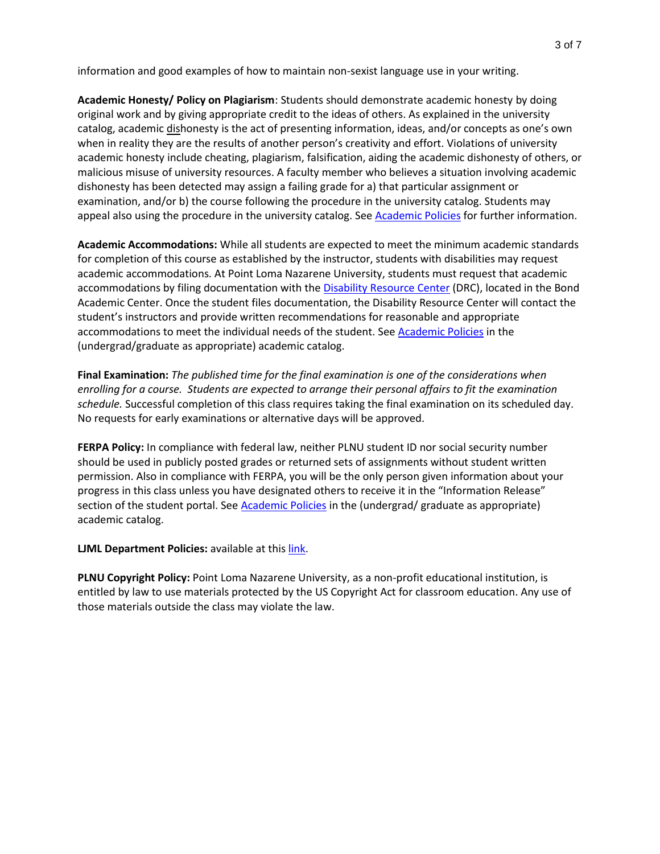information and good examples of how to maintain non-sexist language use in your writing.

**Academic Honesty/ Policy on Plagiarism**: Students should demonstrate academic honesty by doing original work and by giving appropriate credit to the ideas of others. As explained in the university catalog, academic dishonesty is the act of presenting information, ideas, and/or concepts as one's own when in reality they are the results of another person's creativity and effort. Violations of university academic honesty include cheating, plagiarism, falsification, aiding the academic dishonesty of others, or malicious misuse of university resources. A faculty member who believes a situation involving academic dishonesty has been detected may assign a failing grade for a) that particular assignment or examination, and/or b) the course following the procedure in the university catalog. Students may appeal also using the procedure in the university catalog. See [Academic Policies](http://catalog.pointloma.edu/content.php?catoid=24&navoid=1581#Academic_Honesty) for further information.

**Academic Accommodations:** While all students are expected to meet the minimum academic standards for completion of this course as established by the instructor, students with disabilities may request academic accommodations. At Point Loma Nazarene University, students must request that academic accommodations by filing documentation with the [Disability Resource Center](http://www.pointloma.edu/experience/offices/administrative-offices/academic-advising-office/disability-resource-center) (DRC), located in the Bond Academic Center. Once the student files documentation, the Disability Resource Center will contact the student's instructors and provide written recommendations for reasonable and appropriate accommodations to meet the individual needs of the student. See [Academic Policies](http://catalog.pointloma.edu/content.php?catoid=24&navoid=1581) in the (undergrad/graduate as appropriate) academic catalog.

**Final Examination:** *The published time for the final examination is one of the considerations when enrolling for a course. Students are expected to arrange their personal affairs to fit the examination schedule.* Successful completion of this class requires taking the final examination on its scheduled day. No requests for early examinations or alternative days will be approved.

**FERPA Policy:** In compliance with federal law, neither PLNU student ID nor social security number should be used in publicly posted grades or returned sets of assignments without student written permission. Also in compliance with FERPA, you will be the only person given information about your progress in this class unless you have designated others to receive it in the "Information Release" section of the student portal. See [Academic Policies](http://catalog.pointloma.edu/content.php?catoid=24&navoid=1581) in the (undergrad/ graduate as appropriate) academic catalog.

**LJML Department Policies:** available at thi[s link.](http://www.pointloma.edu/sites/default/files/filemanager/Literature_Journalism__Modern_Languages/LJML_Department_Syllabus_Statments_final_2016-17.pdf)

**PLNU Copyright Policy:** Point Loma Nazarene University, as a non-profit educational institution, is entitled by law to use materials protected by the US Copyright Act for classroom education. Any use of those materials outside the class may violate the law.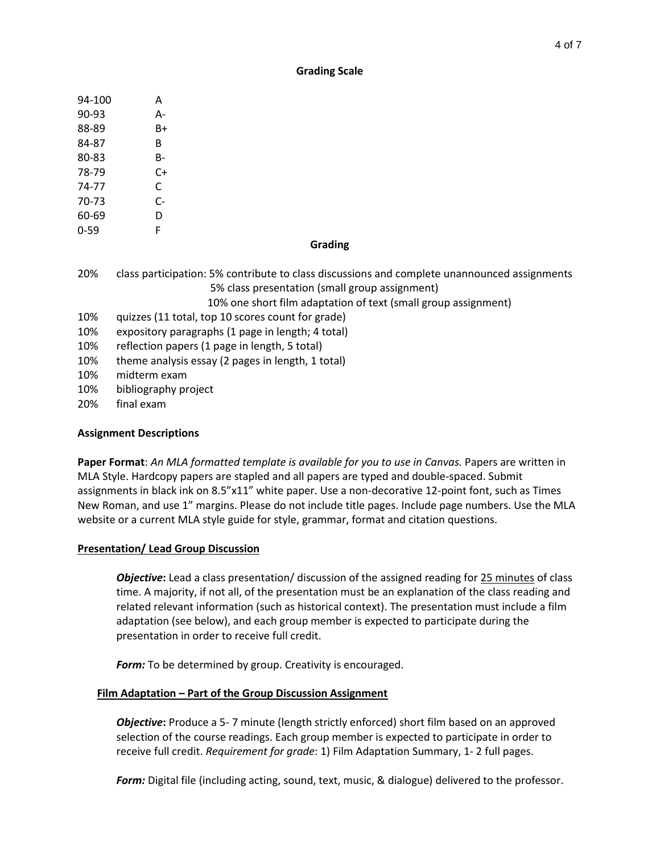#### **Grading Scale**

| 94-100   | A                                                                                                                                                                                                                |  |  |
|----------|------------------------------------------------------------------------------------------------------------------------------------------------------------------------------------------------------------------|--|--|
| 90-93    | A-                                                                                                                                                                                                               |  |  |
| 88-89    | $B+$                                                                                                                                                                                                             |  |  |
| 84-87    | B                                                                                                                                                                                                                |  |  |
| 80-83    | <b>B-</b>                                                                                                                                                                                                        |  |  |
| 78-79    | $C+$                                                                                                                                                                                                             |  |  |
| 74-77    | $\mathsf{C}$                                                                                                                                                                                                     |  |  |
| 70-73    | $C-$                                                                                                                                                                                                             |  |  |
| 60-69    | D                                                                                                                                                                                                                |  |  |
| $0 - 59$ | F                                                                                                                                                                                                                |  |  |
|          | Grading                                                                                                                                                                                                          |  |  |
| 20%      | class participation: 5% contribute to class discussions and complete unannounced assignments<br>5% class presentation (small group assignment)<br>10% one short film adaptation of text (small group assignment) |  |  |
| 10%      | quizzes (11 total, top 10 scores count for grade)                                                                                                                                                                |  |  |
| 10%      | expository paragraphs (1 page in length; 4 total)                                                                                                                                                                |  |  |
| 10%      | reflection papers (1 page in length, 5 total)                                                                                                                                                                    |  |  |
| 10%      | theme analysis essay (2 pages in length, 1 total)                                                                                                                                                                |  |  |
| 10%      | midterm exam                                                                                                                                                                                                     |  |  |
| 10%      | bibliography project                                                                                                                                                                                             |  |  |

20% final exam

### **Assignment Descriptions**

**Paper Format**: *An MLA formatted template is available for you to use in Canvas.* Papers are written in MLA Style. Hardcopy papers are stapled and all papers are typed and double-spaced. Submit assignments in black ink on 8.5"x11" white paper. Use a non-decorative 12-point font, such as Times New Roman, and use 1" margins. Please do not include title pages. Include page numbers. Use the MLA website or a current MLA style guide for style, grammar, format and citation questions.

#### **Presentation/ Lead Group Discussion**

*Objective***:** Lead a class presentation/ discussion of the assigned reading for 25 minutes of class time. A majority, if not all, of the presentation must be an explanation of the class reading and related relevant information (such as historical context). The presentation must include a film adaptation (see below), and each group member is expected to participate during the presentation in order to receive full credit.

*Form:* To be determined by group. Creativity is encouraged.

### **Film Adaptation – Part of the Group Discussion Assignment**

**Objective:** Produce a 5-7 minute (length strictly enforced) short film based on an approved selection of the course readings. Each group member is expected to participate in order to receive full credit. *Requirement for grade*: 1) Film Adaptation Summary, 1- 2 full pages.

*Form:* Digital file (including acting, sound, text, music, & dialogue) delivered to the professor.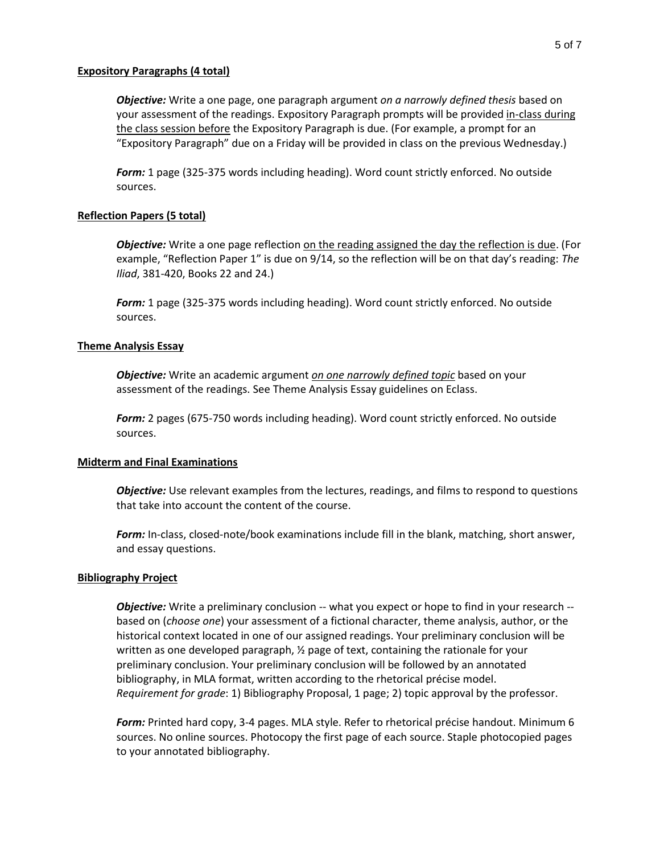#### **Expository Paragraphs (4 total)**

*Objective:* Write a one page, one paragraph argument *on a narrowly defined thesis* based on your assessment of the readings. Expository Paragraph prompts will be provided in-class during the class session before the Expository Paragraph is due. (For example, a prompt for an "Expository Paragraph" due on a Friday will be provided in class on the previous Wednesday.)

*Form:* 1 page (325-375 words including heading). Word count strictly enforced. No outside sources.

#### **Reflection Papers (5 total)**

*Objective:* Write a one page reflection on the reading assigned the day the reflection is due. (For example, "Reflection Paper 1" is due on 9/14, so the reflection will be on that day's reading: *The Iliad*, 381-420, Books 22 and 24.)

*Form:* 1 page (325-375 words including heading). Word count strictly enforced. No outside sources.

#### **Theme Analysis Essay**

*Objective:* Write an academic argument *on one narrowly defined topic* based on your assessment of the readings. See Theme Analysis Essay guidelines on Eclass.

*Form:* 2 pages (675-750 words including heading). Word count strictly enforced. No outside sources.

#### **Midterm and Final Examinations**

*Objective:* Use relevant examples from the lectures, readings, and films to respond to questions that take into account the content of the course.

*Form:* In-class, closed-note/book examinations include fill in the blank, matching, short answer, and essay questions.

#### **Bibliography Project**

*Objective:* Write a preliminary conclusion -- what you expect or hope to find in your research -based on (*choose one*) your assessment of a fictional character, theme analysis, author, or the historical context located in one of our assigned readings. Your preliminary conclusion will be written as one developed paragraph, ½ page of text, containing the rationale for your preliminary conclusion. Your preliminary conclusion will be followed by an annotated bibliography, in MLA format, written according to the rhetorical précise model. *Requirement for grade*: 1) Bibliography Proposal, 1 page; 2) topic approval by the professor.

*Form:* Printed hard copy, 3-4 pages. MLA style. Refer to rhetorical précise handout. Minimum 6 sources. No online sources. Photocopy the first page of each source. Staple photocopied pages to your annotated bibliography.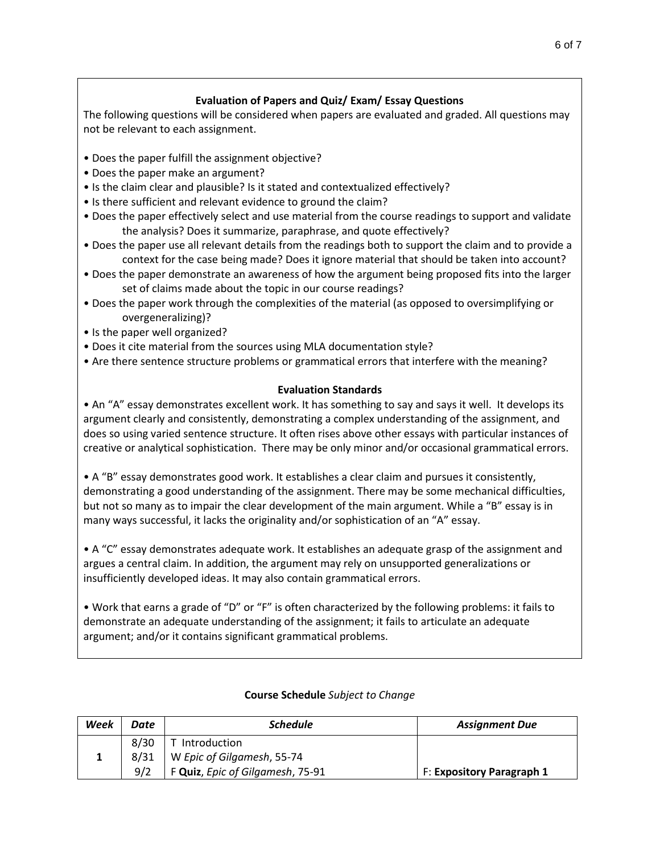# **Evaluation of Papers and Quiz/ Exam/ Essay Questions**

The following questions will be considered when papers are evaluated and graded. All questions may not be relevant to each assignment.

- Does the paper fulfill the assignment objective?
- Does the paper make an argument?
- Is the claim clear and plausible? Is it stated and contextualized effectively?
- Is there sufficient and relevant evidence to ground the claim?
- Does the paper effectively select and use material from the course readings to support and validate the analysis? Does it summarize, paraphrase, and quote effectively?
- Does the paper use all relevant details from the readings both to support the claim and to provide a context for the case being made? Does it ignore material that should be taken into account?
- Does the paper demonstrate an awareness of how the argument being proposed fits into the larger set of claims made about the topic in our course readings?
- Does the paper work through the complexities of the material (as opposed to oversimplifying or overgeneralizing)?
- Is the paper well organized?
- Does it cite material from the sources using MLA documentation style?
- Are there sentence structure problems or grammatical errors that interfere with the meaning?

# **Evaluation Standards**

• An "A" essay demonstrates excellent work. It has something to say and says it well. It develops its argument clearly and consistently, demonstrating a complex understanding of the assignment, and does so using varied sentence structure. It often rises above other essays with particular instances of creative or analytical sophistication. There may be only minor and/or occasional grammatical errors.

• A "B" essay demonstrates good work. It establishes a clear claim and pursues it consistently, demonstrating a good understanding of the assignment. There may be some mechanical difficulties, but not so many as to impair the clear development of the main argument. While a "B" essay is in many ways successful, it lacks the originality and/or sophistication of an "A" essay.

• A "C" essay demonstrates adequate work. It establishes an adequate grasp of the assignment and argues a central claim. In addition, the argument may rely on unsupported generalizations or insufficiently developed ideas. It may also contain grammatical errors.

• Work that earns a grade of "D" or "F" is often characterized by the following problems: it fails to demonstrate an adequate understanding of the assignment; it fails to articulate an adequate argument; and/or it contains significant grammatical problems.

| Week | Date | <b>Schedule</b>                  | <b>Assignment Due</b>     |
|------|------|----------------------------------|---------------------------|
|      | 8/30 | T Introduction                   |                           |
|      | 8/31 | W Epic of Gilgamesh, 55-74       |                           |
|      | 9/2  | F Quiz, Epic of Gilgamesh, 75-91 | F: Expository Paragraph 1 |

# **Course Schedule** *Subject to Change*